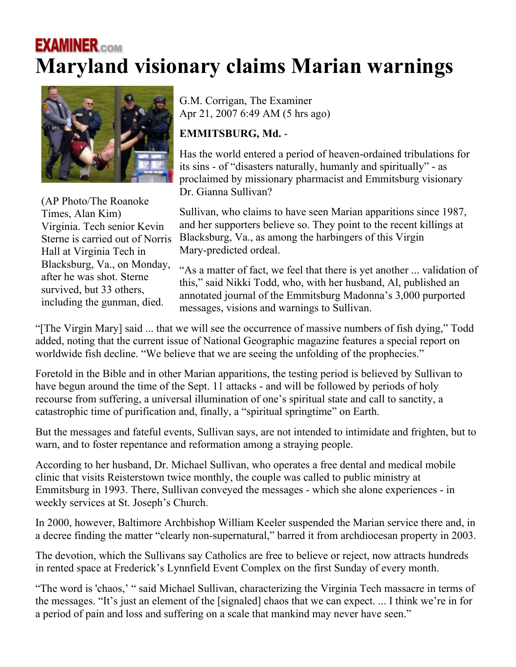## **EXAMINER.com Maryland visionary claims Marian warnings**



(AP Photo/The Roanoke Times, Alan Kim) Virginia. Tech senior Kevin Sterne is carried out of Norris Hall at Virginia Tech in Blacksburg, Va., on Monday, after he was shot. Sterne survived, but 33 others, including the gunman, died.

G.M. Corrigan, The Examiner Apr 21, 2007 6:49 AM (5 hrs ago)

## **EMMITSBURG, Md.** -

Has the world entered a period of heaven-ordained tribulations for its sins - of "disasters naturally, humanly and spiritually" - as proclaimed by missionary pharmacist and Emmitsburg visionary Dr. Gianna Sullivan?

Sullivan, who claims to have seen Marian apparitions since 1987, and her supporters believe so. They point to the recent killings at Blacksburg, Va., as among the harbingers of this Virgin Mary-predicted ordeal.

"As a matter of fact, we feel that there is yet another ... validation of this," said Nikki Todd, who, with her husband, Al, published an annotated journal of the Emmitsburg Madonna's 3,000 purported messages, visions and warnings to Sullivan.

"[The Virgin Mary] said ... that we will see the occurrence of massive numbers of fish dying," Todd added, noting that the current issue of National Geographic magazine features a special report on worldwide fish decline. "We believe that we are seeing the unfolding of the prophecies."

Foretold in the Bible and in other Marian apparitions, the testing period is believed by Sullivan to have begun around the time of the Sept. 11 attacks - and will be followed by periods of holy recourse from suffering, a universal illumination of one's spiritual state and call to sanctity, a catastrophic time of purification and, finally, a "spiritual springtime" on Earth.

But the messages and fateful events, Sullivan says, are not intended to intimidate and frighten, but to warn, and to foster repentance and reformation among a straying people.

According to her husband, Dr. Michael Sullivan, who operates a free dental and medical mobile clinic that visits Reisterstown twice monthly, the couple was called to public ministry at Emmitsburg in 1993. There, Sullivan conveyed the messages - which she alone experiences - in weekly services at St. Joseph's Church.

In 2000, however, Baltimore Archbishop William Keeler suspended the Marian service there and, in a decree finding the matter "clearly non-supernatural," barred it from archdiocesan property in 2003.

The devotion, which the Sullivans say Catholics are free to believe or reject, now attracts hundreds in rented space at Frederick's Lynnfield Event Complex on the first Sunday of every month.

"The word is 'chaos,' " said Michael Sullivan, characterizing the Virginia Tech massacre in terms of the messages. "It's just an element of the [signaled] chaos that we can expect. ... I think we're in for a period of pain and loss and suffering on a scale that mankind may never have seen."